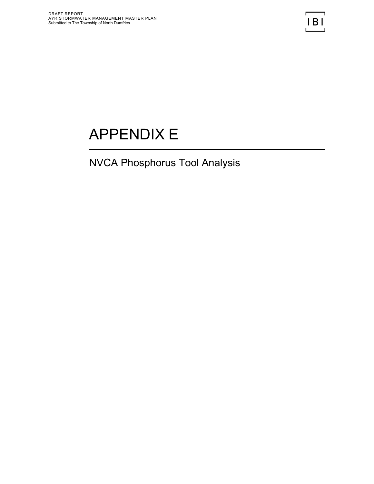## APPENDIX E

## NVCA Phosphorus Tool Analysis